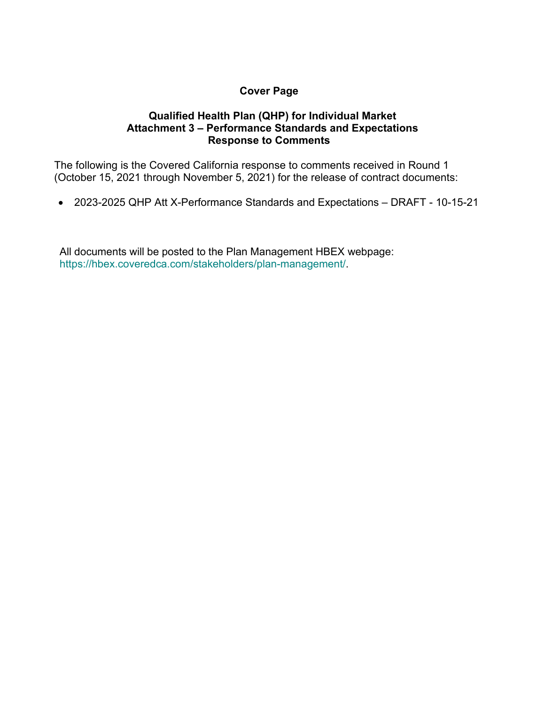## **Cover Page**

## **Qualified Health Plan (QHP) for Individual Market Attachment 3 – Performance Standards and Expectations Response to Comments**

The following is the Covered California response to comments received in Round 1 (October 15, 2021 through November 5, 2021) for the release of contract documents:

• 2023-2025 QHP Att X-Performance Standards and Expectations – DRAFT - 10-15-21

All documents will be posted to the Plan Management HBEX webpage: https://hbex.coveredca.com/stakeholders/plan-management/.